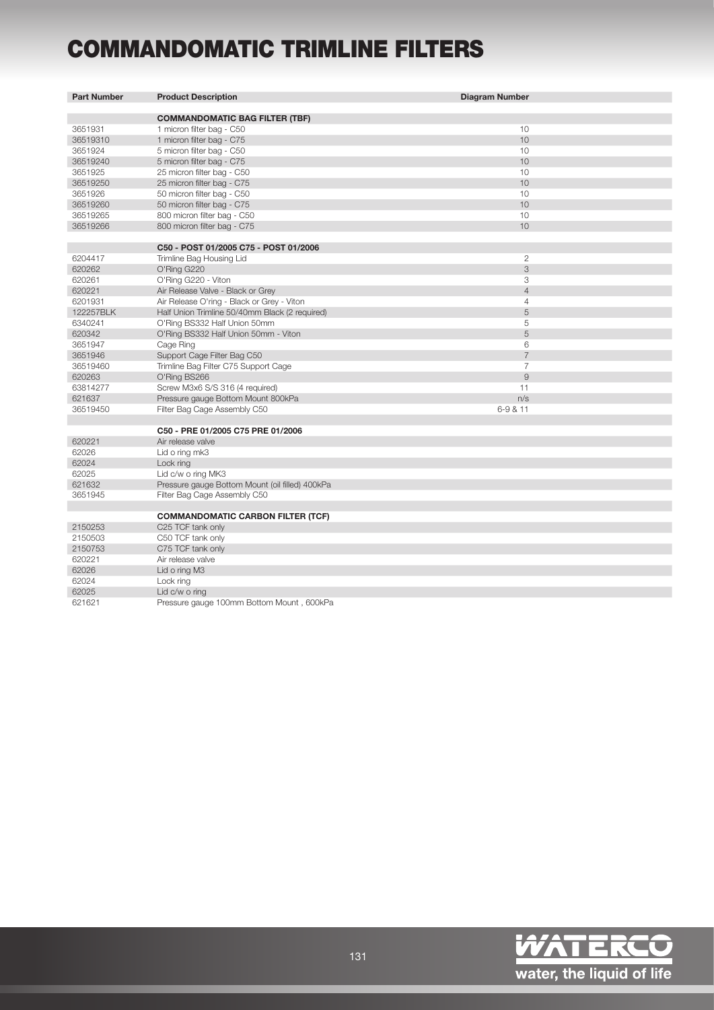## COMMANDOMATIC TRIMLINE FILTERS

| <b>Part Number</b> | <b>Product Description</b>                      | <b>Diagram Number</b> |
|--------------------|-------------------------------------------------|-----------------------|
|                    |                                                 |                       |
|                    | <b>COMMANDOMATIC BAG FILTER (TBF)</b>           |                       |
| 3651931            | 1 micron filter bag - C50                       | 10                    |
| 36519310           | 1 micron filter bag - C75                       | 10                    |
| 3651924            | 5 micron filter bag - C50                       | 10                    |
| 36519240           | 5 micron filter bag - C75                       | 10                    |
| 3651925            | 25 micron filter bag - C50                      | 10                    |
| 36519250           | 25 micron filter bag - C75                      | 10                    |
| 3651926            | 50 micron filter bag - C50                      | 10                    |
| 36519260           | 50 micron filter bag - C75                      | 10                    |
| 36519265           | 800 micron filter bag - C50                     | 10                    |
| 36519266           | 800 micron filter bag - C75                     | 10                    |
|                    | C50 - POST 01/2005 C75 - POST 01/2006           |                       |
| 6204417            | Trimline Bag Housing Lid                        | $\overline{2}$        |
| 620262             | O'Ring G220                                     | 3                     |
| 620261             | O'Ring G220 - Viton                             | 3                     |
| 620221             | Air Release Valve - Black or Grey               | $\overline{4}$        |
| 6201931            | Air Release O'ring - Black or Grey - Viton      | $\overline{4}$        |
| 122257BLK          | Half Union Trimline 50/40mm Black (2 required)  | 5                     |
| 6340241            | O'Ring BS332 Half Union 50mm                    | 5                     |
| 620342             | O'Ring BS332 Half Union 50mm - Viton            | 5                     |
| 3651947            | Cage Ring                                       | 6                     |
| 3651946            | Support Cage Filter Bag C50                     | $\overline{7}$        |
| 36519460           | Trimline Bag Filter C75 Support Cage            | $\overline{7}$        |
| 620263             | O'Ring BS266                                    | 9                     |
| 63814277           | Screw M3x6 S/S 316 (4 required)                 | 11                    |
| 621637             | Pressure gauge Bottom Mount 800kPa              | n/s                   |
| 36519450           | Filter Bag Cage Assembly C50                    | 6-9 & 11              |
|                    |                                                 |                       |
|                    | C50 - PRE 01/2005 C75 PRE 01/2006               |                       |
| 620221             | Air release valve                               |                       |
| 62026              | Lid o ring mk3                                  |                       |
| 62024              | Lock ring                                       |                       |
| 62025              | Lid c/w o ring MK3                              |                       |
| 621632             | Pressure gauge Bottom Mount (oil filled) 400kPa |                       |
| 3651945            | Filter Bag Cage Assembly C50                    |                       |
|                    |                                                 |                       |
|                    | <b>COMMANDOMATIC CARBON FILTER (TCF)</b>        |                       |
| 2150253            | C25 TCF tank only                               |                       |
| 2150503            | C50 TCF tank only                               |                       |
| 2150753            | C75 TCF tank only                               |                       |
| 620221             | Air release valve                               |                       |
| 62026              | Lid o ring M3                                   |                       |
| 62024              | Lock ring                                       |                       |
| 62025              | Lid c/w o ring                                  |                       |
| 621621             | Pressure gauge 100mm Bottom Mount, 600kPa       |                       |